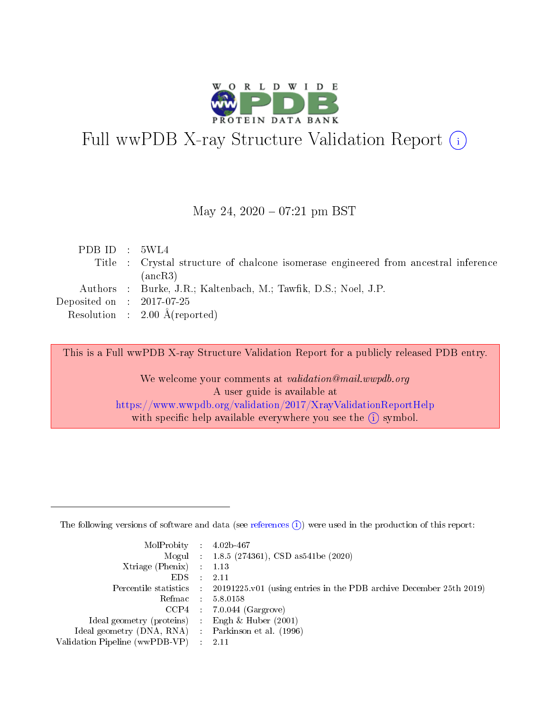

# Full wwPDB X-ray Structure Validation Report (i)

#### May 24,  $2020 - 07:21$  pm BST

| PDB ID : $5WL4$             |                                                                                     |
|-----------------------------|-------------------------------------------------------------------------------------|
|                             | Title : Crystal structure of chalcone isomerase engineered from ancestral inference |
|                             | (ancR3)                                                                             |
|                             | Authors : Burke, J.R.; Kaltenbach, M.; Tawfik, D.S.; Noel, J.P.                     |
| Deposited on : $2017-07-25$ |                                                                                     |
|                             | Resolution : $2.00 \text{ Å}$ (reported)                                            |
|                             |                                                                                     |

This is a Full wwPDB X-ray Structure Validation Report for a publicly released PDB entry.

We welcome your comments at validation@mail.wwpdb.org A user guide is available at <https://www.wwpdb.org/validation/2017/XrayValidationReportHelp> with specific help available everywhere you see the  $(i)$  symbol.

The following versions of software and data (see [references](https://www.wwpdb.org/validation/2017/XrayValidationReportHelp#references)  $(1)$ ) were used in the production of this report:

| $MolProbability$ 4.02b-467                          |               |                                                                                            |
|-----------------------------------------------------|---------------|--------------------------------------------------------------------------------------------|
|                                                     |               | Mogul : 1.8.5 (274361), CSD as 541be (2020)                                                |
| Xtriage (Phenix) $: 1.13$                           |               |                                                                                            |
| EDS.                                                | $\mathcal{L}$ | -2.11                                                                                      |
|                                                     |               | Percentile statistics : 20191225.v01 (using entries in the PDB archive December 25th 2019) |
|                                                     |               | Refmac $5.8.0158$                                                                          |
| CCP4                                                |               | $7.0.044$ (Gargrove)                                                                       |
| Ideal geometry (proteins)                           | $\sim$        | Engh $\&$ Huber (2001)                                                                     |
| Ideal geometry (DNA, RNA) : Parkinson et al. (1996) |               |                                                                                            |
| Validation Pipeline (wwPDB-VP) : 2.11               |               |                                                                                            |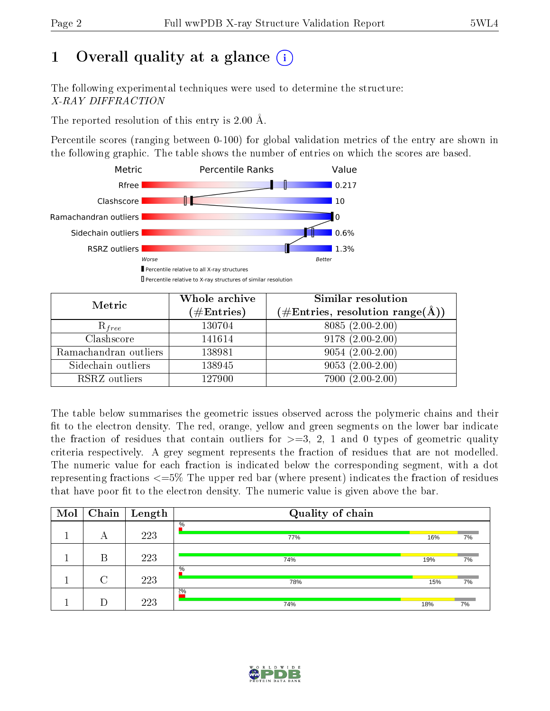## 1 [O](https://www.wwpdb.org/validation/2017/XrayValidationReportHelp#overall_quality)verall quality at a glance  $(i)$

The following experimental techniques were used to determine the structure: X-RAY DIFFRACTION

The reported resolution of this entry is 2.00 Å.

Percentile scores (ranging between 0-100) for global validation metrics of the entry are shown in the following graphic. The table shows the number of entries on which the scores are based.



| Metric                | Whole archive<br>$(\#\mathrm{Entries})$ | Similar resolution<br>$(\#\text{Entries}, \text{resolution range}(\textup{\AA}))$ |
|-----------------------|-----------------------------------------|-----------------------------------------------------------------------------------|
| $R_{free}$            | 130704                                  | $8085(2.00-2.00)$                                                                 |
| Clashscore            | 141614                                  | $9178(2.00-2.00)$                                                                 |
| Ramachandran outliers | 138981                                  | $9054(2.00-2.00)$                                                                 |
| Sidechain outliers    | 138945                                  | $9053(2.00-2.00)$                                                                 |
| RSRZ outliers         | 127900                                  | $7900(2.00-2.00)$                                                                 |

The table below summarises the geometric issues observed across the polymeric chains and their fit to the electron density. The red, orange, yellow and green segments on the lower bar indicate the fraction of residues that contain outliers for  $>=3, 2, 1$  and 0 types of geometric quality criteria respectively. A grey segment represents the fraction of residues that are not modelled. The numeric value for each fraction is indicated below the corresponding segment, with a dot representing fractions  $\epsilon=5\%$  The upper red bar (where present) indicates the fraction of residues that have poor fit to the electron density. The numeric value is given above the bar.

| Mol | Chain  | Length | Quality of chain |     |    |
|-----|--------|--------|------------------|-----|----|
|     | А      | 223    | $\%$<br>77%      | 16% | 7% |
|     | В      | 223    | 74%              | 19% | 7% |
|     | $\cap$ | 223    | $\%$<br>78%      | 15% | 7% |
|     |        | 223    | $2\%$<br>74%     | 18% | 7% |

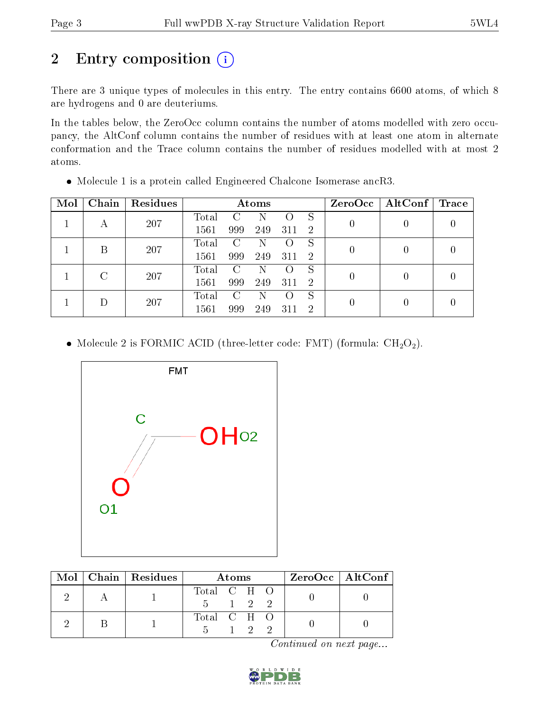## 2 Entry composition (i)

There are 3 unique types of molecules in this entry. The entry contains 6600 atoms, of which 8 are hydrogens and 0 are deuteriums.

In the tables below, the ZeroOcc column contains the number of atoms modelled with zero occupancy, the AltConf column contains the number of residues with at least one atom in alternate conformation and the Trace column contains the number of residues modelled with at most 2 atoms.

| Mol | Chain | Residues | Atoms |                             |     |     |    | ZeroOcc | $\mid$ AltConf $\mid$ | Trace |
|-----|-------|----------|-------|-----------------------------|-----|-----|----|---------|-----------------------|-------|
|     |       | 207      | Total |                             |     |     | S  |         |                       |       |
|     | А     |          | 1561  | 999                         | 249 | 311 | -2 |         |                       |       |
|     | В     | 207      | Total | $\mathcal{C}$               | N   |     | S  |         |                       |       |
|     |       |          | 1561  | 999                         | 249 | 311 | -2 |         |                       |       |
|     |       | 207      | Total | $\mathcal{C}_{\mathcal{C}}$ | N   |     | S  |         |                       |       |
|     |       |          | 1561  | 999                         | 249 | 311 | -2 |         |                       |       |
|     |       |          | Total | C                           | N   |     | S  |         |                       |       |
|     | 207   | 1561     | 999   | 249                         | 311 | 2   |    |         |                       |       |

Molecule 1 is a protein called Engineered Chalcone Isomerase ancR3.

• Molecule 2 is FORMIC ACID (three-letter code: FMT) (formula:  $CH<sub>2</sub>O<sub>2</sub>$ ).



|  | $Mol$   Chain   Residues | Atoms                             |  |                |     | $ZeroOcc \   \$ AltConf |
|--|--------------------------|-----------------------------------|--|----------------|-----|-------------------------|
|  |                          | Total C H O<br>$5 \t 1 \t 2 \t 2$ |  |                |     |                         |
|  |                          | Total C H O                       |  | $\overline{2}$ | - 2 |                         |

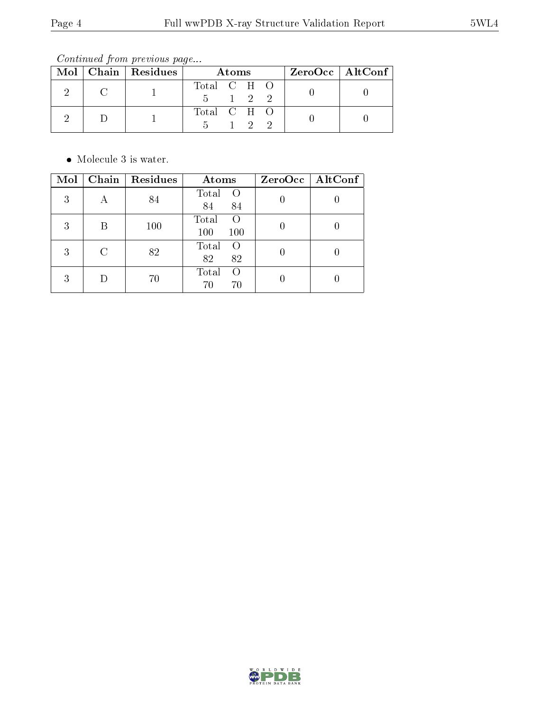Continued from previous page...

|  | Mol   Chain   Residues | Atoms       |                     |  |  | ZeroOcc   AltConf |  |  |
|--|------------------------|-------------|---------------------|--|--|-------------------|--|--|
|  |                        | Total C H O |                     |  |  |                   |  |  |
|  |                        |             | $1 \quad 2 \quad 2$ |  |  |                   |  |  |
|  |                        | Total C H O |                     |  |  |                   |  |  |
|  |                        |             |                     |  |  |                   |  |  |

• Molecule 3 is water.

| Mol |   | Chain   Residues | Atoms                                   | ZeroOcc   AltConf |
|-----|---|------------------|-----------------------------------------|-------------------|
| 3   | А | 84               | Total<br>$\left( \right)$<br>84<br>84   |                   |
| 3   | R | 100              | Total<br>$\left( \right)$<br>100<br>100 |                   |
| 3   | C | 82               | Total<br>$\left($<br>82<br>82           |                   |
| 3   |   | 70               | Total<br>$\left( \right)$<br>70<br>70   |                   |

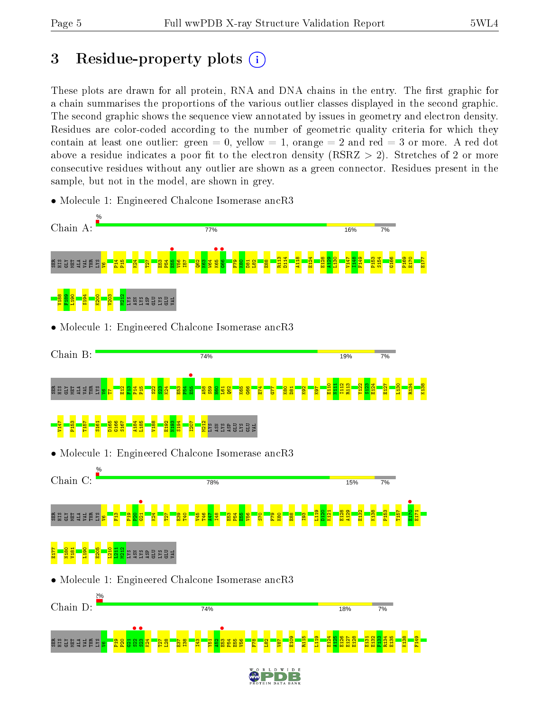## 3 Residue-property plots  $(i)$

These plots are drawn for all protein, RNA and DNA chains in the entry. The first graphic for a chain summarises the proportions of the various outlier classes displayed in the second graphic. The second graphic shows the sequence view annotated by issues in geometry and electron density. Residues are color-coded according to the number of geometric quality criteria for which they contain at least one outlier: green  $= 0$ , yellow  $= 1$ , orange  $= 2$  and red  $= 3$  or more. A red dot above a residue indicates a poor fit to the electron density (RSRZ  $> 2$ ). Stretches of 2 or more consecutive residues without any outlier are shown as a green connector. Residues present in the sample, but not in the model, are shown in grey.



• Molecule 1: Engineered Chalcone Isomerase ancR3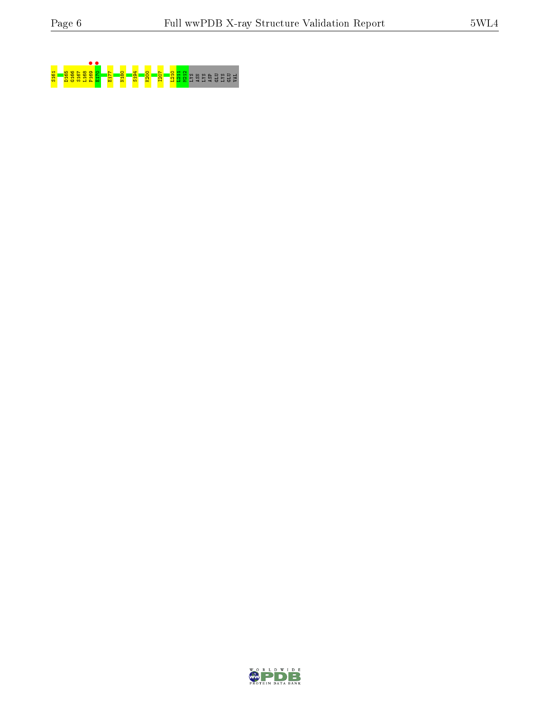

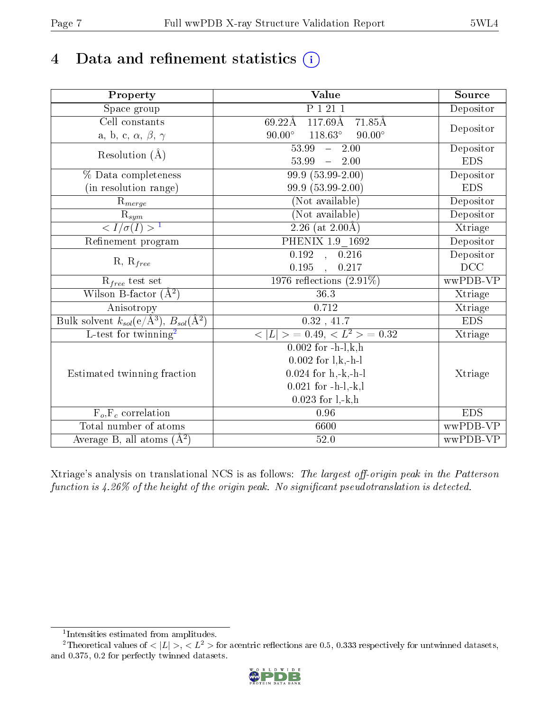## 4 Data and refinement statistics  $(i)$

| Property                                                                  | <b>Value</b>                                     | Source     |
|---------------------------------------------------------------------------|--------------------------------------------------|------------|
| $\overline{\text{Space}}$ group                                           | P1211                                            | Depositor  |
| Cell constants                                                            | 69.22Å<br>117.69Å 71.85Å                         |            |
| a, b, c, $\alpha,\,\beta,\,\gamma$                                        | $118.63^\circ$<br>$90.00^\circ$<br>$90.00^\circ$ | Depositor  |
| Resolution $(\AA)$                                                        | 53.99<br>$-2.00$                                 | Depositor  |
|                                                                           | $53.99 - 2.00$                                   | <b>EDS</b> |
| % Data completeness                                                       | $99.9(53.99-2.00)$                               | Depositor  |
| (in resolution range)                                                     | 99.9 (53.99-2.00)                                | <b>EDS</b> |
| $R_{merge}$                                                               | (Not available)                                  | Depositor  |
|                                                                           | (Not available)                                  | Depositor  |
| $\frac{R_{sym}}{{}1}$                                                     | $\overline{2.26}$ (at 2.00 Å)                    | Xtriage    |
| Refinement program                                                        | PHENIX 1.9 1692                                  | Depositor  |
|                                                                           | 0.192, 0.216                                     | Depositor  |
| $R, R_{free}$                                                             | 0.195<br>, 0.217                                 | DCC        |
| $\mathcal{R}_{free}$ test set                                             | 1976 reflections $(2.91\%)$                      | wwPDB-VP   |
| Wilson B-factor $(A^2)$                                                   | 36.3                                             | Xtriage    |
| Anisotropy                                                                | 0.712                                            | Xtriage    |
| Bulk solvent $k_{sol}(\mathrm{e}/\mathrm{A}^3)$ , $B_{sol}(\mathrm{A}^2)$ | $\overline{0.32}$ , 41.7                         | <b>EDS</b> |
| L-test for twinning <sup>2</sup>                                          | $< L >$ = 0.49, $< L2$ > = 0.32                  | Xtriage    |
|                                                                           | $0.002$ for $-h-l,k,h$                           |            |
|                                                                           | $0.002$ for $l, k, -h-1$                         |            |
| Estimated twinning fraction                                               | $0.024$ for $h,-k,-h-l$                          | Xtriage    |
|                                                                           | $0.021$ for $-h-l,-k,l$                          |            |
|                                                                           | $0.023$ for $1, -k, h$                           |            |
| $F_o, F_c$ correlation                                                    | $0.96\,$                                         | <b>EDS</b> |
| Total number of atoms                                                     | 6600                                             | wwPDB-VP   |
| Average B, all atoms $(A^2)$                                              | 52.0                                             | wwPDB-VP   |

Xtriage's analysis on translational NCS is as follows: The largest off-origin peak in the Patterson function is  $4.26\%$  of the height of the origin peak. No significant pseudotranslation is detected.

<sup>&</sup>lt;sup>2</sup>Theoretical values of  $\langle |L| \rangle$ ,  $\langle L^2 \rangle$  for acentric reflections are 0.5, 0.333 respectively for untwinned datasets, and 0.375, 0.2 for perfectly twinned datasets.



<span id="page-6-1"></span><span id="page-6-0"></span><sup>1</sup> Intensities estimated from amplitudes.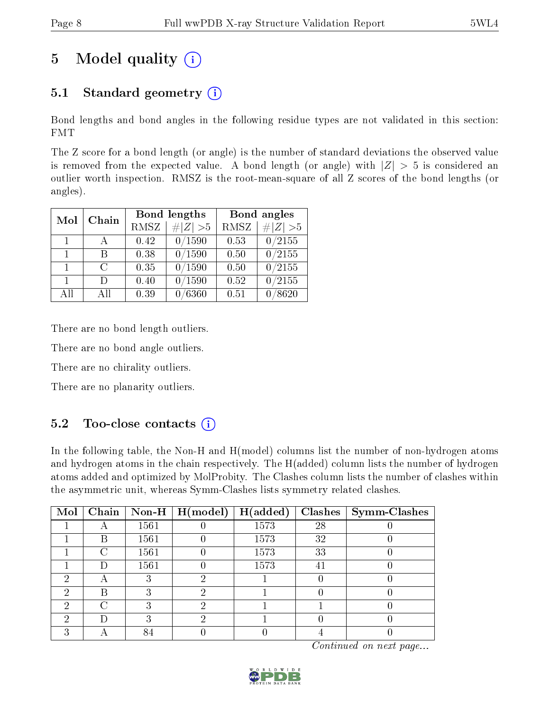## 5 Model quality  $(i)$

### 5.1 Standard geometry  $(i)$

Bond lengths and bond angles in the following residue types are not validated in this section: FMT

The Z score for a bond length (or angle) is the number of standard deviations the observed value is removed from the expected value. A bond length (or angle) with  $|Z| > 5$  is considered an outlier worth inspection. RMSZ is the root-mean-square of all Z scores of the bond lengths (or angles).

| Mol            | Chain        |             | Bond lengths  | Bond angles |                     |  |
|----------------|--------------|-------------|---------------|-------------|---------------------|--|
|                |              | <b>RMSZ</b> | $\# Z  > 5$   | <b>RMSZ</b> | H Z <br>>5          |  |
| $\mathbf{1}$   | $\mathsf{A}$ | 0.42        | 0/1590        | 0.53        | $\overline{0}/2155$ |  |
| $\mathbf{1}$   | R            | 0.38        | 0/1590        | 0.50        | $\sqrt{0/2155}$     |  |
| $\mathbf{1}$   | $\cap$       | 0.35        | 0/1590        | 0.50        | $\overline{0/2155}$ |  |
| $\overline{1}$ | Ð            | 0.40        | 0/1590        | 0.52        | $\sqrt{0/2155}$     |  |
| All            | Αll          | 0.39        | $\sqrt{6360}$ | 0.51        | /8620               |  |

There are no bond length outliers.

There are no bond angle outliers.

There are no chirality outliers.

There are no planarity outliers.

### $5.2$  Too-close contacts  $\overline{1}$

In the following table, the Non-H and H(model) columns list the number of non-hydrogen atoms and hydrogen atoms in the chain respectively. The H(added) column lists the number of hydrogen atoms added and optimized by MolProbity. The Clashes column lists the number of clashes within the asymmetric unit, whereas Symm-Clashes lists symmetry related clashes.

| Mol |   |      | $\boxed{\text{Chain}}$   Non-H   H(model) | H(added) | Clashes | $\vert$ Symm-Clashes |
|-----|---|------|-------------------------------------------|----------|---------|----------------------|
|     |   | 1561 |                                           | 1573     | 28      |                      |
|     | В | 1561 |                                           | 1573     | 32      |                      |
|     | ⊖ | 1561 |                                           | 1573     | 33      |                      |
|     | Ð | 1561 |                                           | 1573     | 41      |                      |
| ച   |   |      |                                           |          |         |                      |
| ച   | R |      |                                           |          |         |                      |
| ച   | 7 |      |                                           |          |         |                      |
| ച   | Ð |      |                                           |          |         |                      |
|     |   |      |                                           |          |         |                      |

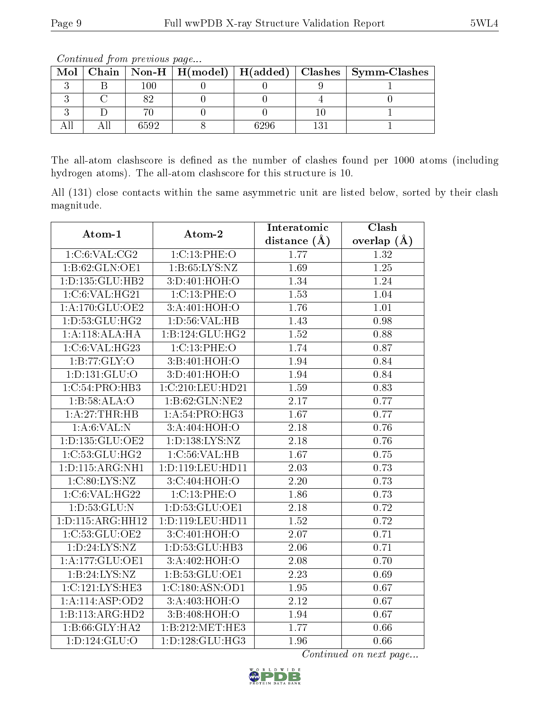| Mol |      |      | Chain   Non-H   H(model)   H(added)   Clashes   Symm-Clashes |
|-----|------|------|--------------------------------------------------------------|
|     | 100  |      |                                                              |
|     |      |      |                                                              |
|     |      |      |                                                              |
|     | 6592 | 6296 |                                                              |

Continued from previous page...

The all-atom clashscore is defined as the number of clashes found per 1000 atoms (including hydrogen atoms). The all-atom clashscore for this structure is 10.

All (131) close contacts within the same asymmetric unit are listed below, sorted by their clash magnitude.

| Atom-1                      | Atom-2              | Interatomic       | Clash           |
|-----------------------------|---------------------|-------------------|-----------------|
|                             |                     | distance $(\AA)$  | overlap $(\AA)$ |
| 1:C:6:VAL:CG2               | 1:C:13:PHE:O        | 1.77              | 1.32            |
| 1:B:62:GLN:OE1              | 1: B:65: LYS:NZ     | 1.69              | $1.25\,$        |
| 1:D:135:GLU:HB2             | 3:D:401:HOH:O       | 1.34              | 1.24            |
| 1:C:6:VAL:HG21              | 1:C:13:PHE:O        | 1.53              | 1.04            |
| $1:A:170:GLU:$ OE2          | 3: A:401:HOH:O      | 1.76              | 1.01            |
| 1: D: 53: GLU: HG2          | 1: D:56: VAL:HB     | 1.43              | 0.98            |
| 1:A:118:ALA:HA              | 1:B:124:GLU:HG2     | 1.52              | 0.88            |
| $1:C:6:\overline{VAL:HG23}$ | 1:C:13:PHE:O        | 1.74              | 0.87            |
| 1:B:77:GLY:O                | 3:B:401:HOH:O       | 1.94              | 0.84            |
| 1: D: 131: GLU: O           | 3:D:401:HOH:O       | 1.94              | 0.84            |
| 1:C:54:PRO:HB3              | 1:C:210:LEU:HD21    | 1.59              | 0.83            |
| 1:B:58:ALA:O                | 1:B:62:GLN:NE2      | 2.17              | 0.77            |
| 1:A:27:THR:HB               | 1: A:54:PRO:HG3     | 1.67              | 0.77            |
| 1: A:6: VAL: N              | 3:A:404:HOH:O       | 2.18              | 0.76            |
| 1: D: 135: GLU: OE2         | 1: D: 138: LYS: NZ  | 2.18              | 0.76            |
| 1:C:53:GLU:HG2              | 1:C:56:VAL:HB       | 1.67              | 0.75            |
| 1: D: 115: ARG: NH1         | 1:D:119:LEU:HD11    | 2.03              | 0.73            |
| 1: C:80: LYS: NZ            | 3:C:404:HOH:O       | 2.20              | 0.73            |
| 1:C:6:VAL:HG22              | 1:C:13:PHE:O        | 1.86              | 0.73            |
| 1:D:53:GLU:N                | 1:D:53:GLU:OE1      | $\overline{2}.18$ | 0.72            |
| 1:D:115:ARG:HH12            | 1:D:119:LEU:HD11    | 1.52              | 0.72            |
| 1:C:53:GLU:OE2              | 3:C:401:HOH:O       | 2.07              | 0.71            |
| 1: D: 24: LYS: NZ           | 1: D: 53: GLU: HB3  | 2.06              | 0.71            |
| 1:A:177:GLU:OE1             | 3:A:402:HOH:O       | 2.08              | 0.70            |
| 1: B:24: LYS:NZ             | 1: B: 53: GLU: OE1  | $\overline{2.23}$ | 0.69            |
| 1:C:121:LYS:HE3             | 1:C:180:ASN:OD1     | 1.95              | 0.67            |
| 1:A:114:ASP:OD2             | 3:A:403:HOH:O       | 2.12              | 0.67            |
| 1:B:113:ARG:HD2             | 3:B:408:HOH:O       | 1.94              | 0.67            |
| 1:B:66:GLY:HA2              | 1:B:212:MET:HE3     | 1.77              | 0.66            |
| 1: D: 124: GLU: O           | 1: D: 128: GLU: HG3 | 1.96              | 0.66            |

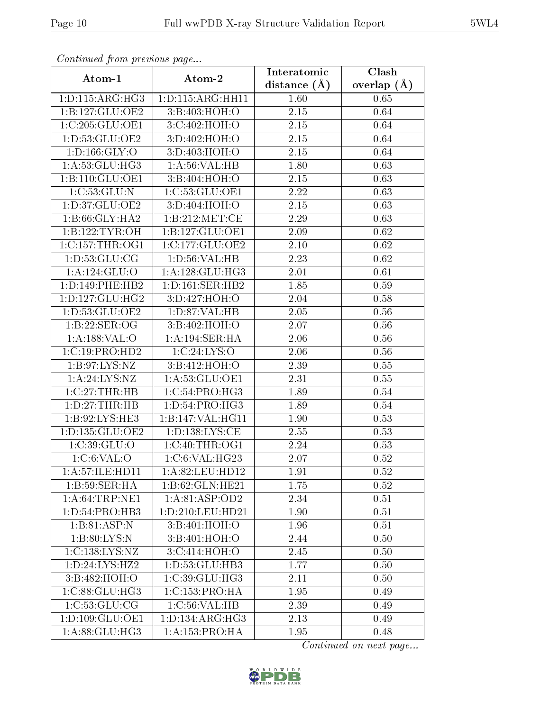| Continuati prom previous page |                      | Interatomic    | Clash           |  |  |
|-------------------------------|----------------------|----------------|-----------------|--|--|
| Atom-1                        | Atom-2               | distance $(A)$ | overlap $(\AA)$ |  |  |
| 1: D: 115: ARG: HG3           | 1: D: 115: ARG: HH11 | 1.60           | 0.65            |  |  |
| 1:B:127:GLU:OE2               | 3:B:403:HOH:O        | 2.15           | 0.64            |  |  |
| 1:C:205:GLU:OE1               | 3:C:402:HOH:O        | 2.15           | 0.64            |  |  |
| 1:D:53:GLU:OE2                | 3:D:402:HOH:O        | 2.15           | 0.64            |  |  |
| 1: D: 166: GLY: O             | 3:D:403:HOH:O        | 2.15           | 0.64            |  |  |
| 1: A:53: GLU:HG3              | 1: A:56: VAL:HB      | 1.80           | 0.63            |  |  |
| 1:B:110:GLU:OE1               | 3:B:404:HOH:O        | 2.15           | 0.63            |  |  |
| 1:C:53:GLU:N                  | 1:C:53:GLU:OE1       | 2.22           | 0.63            |  |  |
| 1: D:37: GLU:OE2              | 3:D:404:HOH:O        | 2.15           | 0.63            |  |  |
| 1:B:66:GLY:HA2                | 1: B: 212: MET:CE    | 2.29           | 0.63            |  |  |
| 1:B:122:TYR:OH                | 1:B:127:GLU:OE1      | 2.09           | 0.62            |  |  |
| 1:C:157:THR:OG1               | 1:C:177:GLU:OE2      | 2.10           | 0.62            |  |  |
| 1: D: 53: GLU: CG             | 1: D:56: VAL:HB      | 2.23           | 0.62            |  |  |
| 1: A:124: GLU:O               | 1: A:128: GLU:HG3    | 2.01           | 0.61            |  |  |
| 1: D: 149: PHE: HB2           | 1:D:161:SER:HB2      | 1.85           | 0.59            |  |  |
| 1: D: 127: GLU: HG2           | 3: D: 427: HOH:O     | 2.04           | 0.58            |  |  |
| 1:D:53:GLU:OE2                | 1: D:87: VAL:HB      | 2.05           | 0.56            |  |  |
| 1:B:22:SER:OG                 | 3:B:402:HOH:O        | 2.07           | 0.56            |  |  |
| 1:A:188:VAL:O                 | 1:A:194:SER:HA       | 2.06           | 0.56            |  |  |
| 1:C:19:PRO:HD2                | 1:C:24:LYS:O         | $2.06\,$       | 0.56            |  |  |
| 1: B:97: LYS: NZ              | 3:B:412:HOH:O        | 2.39           | 0.55            |  |  |
| 1: A:24:LYS:NZ                | 1: A: 53: GLU: OE1   | 2.31           | 0.55            |  |  |
| 1:C:27:THR:HB                 | 1:C:54:PRO:HG3       | 1.89           | 0.54            |  |  |
| 1: D: 27: THR: HB             | 1:D:54:PRO:HG3       | 1.89           | 0.54            |  |  |
| 1:B:92:LYS:HE3                | 1:B:147:VAL:HG11     | 1.90           | 0.53            |  |  |
| 1: D: 135: GLU: OE2           | 1: D: 138: LYS: CE   | 2.55           | 0.53            |  |  |
| 1:C:39:GLU:O                  | 1:C:40:THR:OG1       | 2.24           | 0.53            |  |  |
| 1:C:6:VAL:O                   | 1:C:6:VAL:HG23       | 2.07           | 0.52            |  |  |
| 1: A:57: ILE: HD11            | 1: A:82: LEU: HD12   | 1.91           | 0.52            |  |  |
| 1:B:59:SER:HA                 | 1:B:62:GLN:HE21      | 1.75           | 0.52            |  |  |
| 1: A:64:TRP:NE1               | 1: A:81: ASP:OD2     | 2.34           | 0.51            |  |  |
| 1:D:54:PRO:HB3                | 1:D:210:LEU:HD21     | 1.90           | 0.51            |  |  |
| 1:B:81:ASP:N                  | 3:B:401:HOH:O        | 1.96           | 0.51            |  |  |
| 1: B:80: LYS:N                | 3:B:401:HOH:O        | 2.44           | 0.50            |  |  |
| 1:C:138:LYS:NZ                | 3:C:414:HOH:O        | 2.45           | 0.50            |  |  |
| 1:D:24:LYS:HZ2                | 1:D:53:GLU:HB3       | 1.77           | 0.50            |  |  |
| 3:B:482:HOH:O                 | 1:C:39:CLU:HG3       | 2.11           | 0.50            |  |  |
| $1:C:88:GLU:\overline{HG3}$   | 1:C:153:PRO:HA       | 1.95           | 0.49            |  |  |
| 1:C:53:GLU:CG                 | 1:C:56:VAL:HB        | 2.39           | 0.49            |  |  |
| 1: D: 109: GLU: OE1           | 1: D: 134: ARG: HG3  | 2.13           | 0.49            |  |  |
| 1:A:88:GLU:HG3                | 1:A:153:PRO:HA       | 1.95           | 0.48            |  |  |

Continued from previous page.

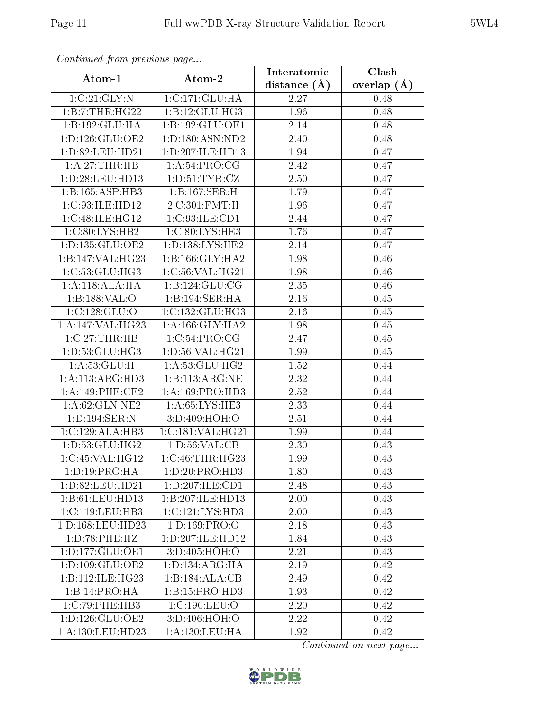| сонинией јтот ртеvious раде |                             | Interatomic       | Clash           |
|-----------------------------|-----------------------------|-------------------|-----------------|
| Atom-1                      | Atom-2                      | distance $(A)$    | overlap $(\AA)$ |
| 1:C:21:GLY:N                | 1:C:171:GLU:HA              | 2.27              | 0.48            |
| 1:B:7:THR:HG22              | 1: B: 12: GLU: HG3          | $\overline{1}.96$ | 0.48            |
| 1:B:192:GLU:HA              | 1:B:192:GLU:OE1             | 2.14              | 0.48            |
| 1: D: 126: GLU: OE2         | 1:D:180:ASN:ND2             | 2.40              | 0.48            |
| 1: D:82: LEU:HD21           | 1: D: 207: ILE: HD13        | 1.94              | 0.47            |
| 1:A:27:THR:HB               | 1: A:54: PRO:CG             | 2.42              | 0.47            |
| 1: D:28: LEU:HD13           | 1: D: 51: TYR: CZ           | 2.50              | 0.47            |
| 1:B:165:ASP:HB3             | 1:B:167:SER:H               | 1.79              | 0.47            |
| 1:C:93:ILE:HD12             | 2:C:301:FMT:H               | 1.96              | 0.47            |
| 1:C:48:ILE:HG12             | 1:C:93:ILE:CD1              | 2.44              | 0.47            |
| 1:C:80:LYS:HB2              | 1:C:80:LYS:HE3              | 1.76              | 0.47            |
| 1: D: 135: GLU: OE2         | 1:D:138:LYS:HE2             | 2.14              | 0.47            |
| 1:B:147:VAL:HG23            | 1: B: 166: GLY: HA2         | 1.98              | 0.46            |
| 1:C:53:GLU:HG3              | 1:C:56:VAL:HG21             | 1.98              | 0.46            |
| 1:A:118:ALA:HA              | 1:B:124:GLU:CG              | 2.35              | 0.46            |
| 1:B:188:VAL:O               | 1:B:194:SER:HA              | 2.16              | 0.45            |
| 1:C:128:GLU:O               | 1:C:132:GLU:HG3             | 2.16              | 0.45            |
| 1: A:147: VAL:HG23          | 1: A: 166: GLY: HA2         | 1.98              | 0.45            |
| 1:C:27:THR:HB               | 1:C:54:PRO:CG               | 2.47              | 0.45            |
| 1:D:53:GLU:HG3              | 1: D:56: VAL:HG21           | 1.99              | 0.45            |
| 1: A:53: GLU:H              | 1:A:53:GLU:HG2              | 1.52              | 0.44            |
| 1:A:113:ARG:HD3             | 1:B:113:ARG:NE              | 2.32              | 0.44            |
| 1:A:149:PHE:CE2             | 1:A:169:PRO:HD3             | 2.52              | 0.44            |
| 1: A:62: GLN:NE2            | 1: A:65:LYS:HE3             | 2.33              | 0.44            |
| 1:D:194:SER:N               | 3:D:409:HOH:O               | 2.51              | 0.44            |
| 1:C:129:ALA:HB3             | 1:C:181:VAL:HG21            | 1.99              | 0.44            |
| 1:D:53:GLU:HG2              | 1: D: 56: VAL: CB           | 2.30              | 0.43            |
| 1:C:45:VAL:HG12             | 1:C:46:THR:HG23             | 1.99              | 0.43            |
| 1: D: 19: PRO: HA           | 1:D:20:PRO:HD3              | 1.80              | 0.43            |
| 1: D:82: LEU:HD21           | 1: D: 207: ILE: CD1         | 2.48              | 0.43            |
| 1:B:61:LEU:HD13             | 1:B:207:ILE:HD13            | 2.00              | 0.43            |
| 1:C:119:LEU:HB3             | 1:C:121:LYS:HD3             | 2.00              | 0.43            |
| 1: D: 168: LEU: HD23        | 1: D: 169: PRO: O           | 2.18              | 0.43            |
| 1: D:78: PHE:HZ             | 1:D:207:ILE:HD12            | 1.84              | 0.43            |
| 1: D: 177: GLU: OE1         | 3:D:405:HOH:O               | 2.21              | 0.43            |
| 1:D:109:GLU:OE2             | 1: D: 134: ARG: HA          | 2.19              | 0.42            |
| 1:B:112:ILE:HG23            | 1:B:184:ALA:CB              | 2.49              | 0.42            |
| $1:B:14:PRO:\overline{HA}$  | $1:B:15:P\overline{RO:HD3}$ | 1.93              | 0.42            |
| 1:C:79:PHE:HB3              | 1:C:190:LEU:O               | 2.20              | 0.42            |
| 1: D: 126: GLU: OE2         | 3:D:406:HOH:O               | 2.22              | 0.42            |
| 1:A:130:LEU:HD23            | 1: A: 130: LEU: HA          | 1.92              | 0.42            |

Continued from previous page.

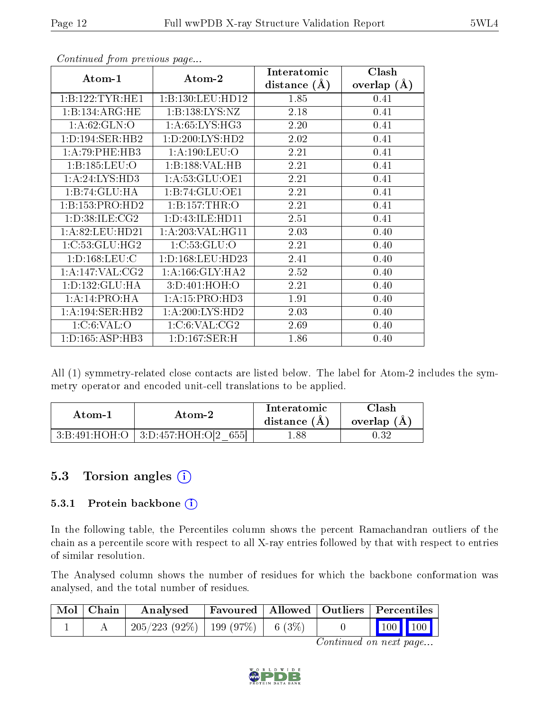| Atom-1              | Atom-2              | Interatomic    | Clash         |
|---------------------|---------------------|----------------|---------------|
|                     |                     | distance $(A)$ | overlap $(A)$ |
| 1:B:122:TYR:HE1     | 1:B:130:LEU:HD12    | 1.85           | 0.41          |
| 1:B:134:ARG:HE      | 1: B: 138: LYS: NZ  | 2.18           | 0.41          |
| 1: A:62: GLN:O      | 1: A:65: LYS: HG3   | 2.20           | 0.41          |
| 1: D: 194: SER: HB2 | 1: D:200: LYS: HD2  | 2.02           | 0.41          |
| 1:A:79:PHE:HB3      | 1: A: 190: LEU: O   | 2.21           | 0.41          |
| 1:B:185:LEU:O       | 1:B:188:VAL:HB      | 2.21           | 0.41          |
| 1:A:24:LYS:HD3      | 1: A:53: GLU:OE1    | 2.21           | 0.41          |
| 1:B:74:GLU:HA       | 1:B:74:GLU:OE1      | 2.21           | 0.41          |
| 1:B:153:PRO:HD2     | 1:B:157:THR:O       | 2.21           | 0.41          |
| 1: D:38: ILE: CG2   | 1: D: 43: ILE: HD11 | 2.51           | 0.41          |
| 1:A:82:LEU:HD21     | 1:A:203:VAL:HG11    | 2.03           | 0.40          |
| 1:C:53:GLU:HG2      | 1:C:53:GLU:O        | 2.21           | 0.40          |
| 1: D: 168: LEU: C   | 1:D:168:LEU:HD23    | 2.41           | 0.40          |
| 1: A:147: VAL: CG2  | 1: A: 166: GLY: HA2 | 2.52           | 0.40          |
| 1: D: 132: GLU: HA  | 3:D:401:HOH:O       | 2.21           | 0.40          |
| 1:A:14:PRO:HA       | 1: A: 15: PRO: HD3  | 1.91           | 0.40          |
| 1:A:194:SER:HB2     | 1: A:200: LYS: HD2  | 2.03           | 0.40          |
| 1: C:6: VAL:O       | 1:C:6:VAL:CG2       | 2.69           | 0.40          |
| 1: D: 165: ASP: HB3 | 1: D: 167: SER:H    | 1.86           | 0.40          |

Continued from previous page...

All (1) symmetry-related close contacts are listed below. The label for Atom-2 includes the symmetry operator and encoded unit-cell translations to be applied.

| Atom-2 |                                      | Interatomic    | Clash         |
|--------|--------------------------------------|----------------|---------------|
| Atom-1 |                                      | distance $(A)$ | overlap $(A)$ |
|        | 3:B:491:HOH:O   3:D:457:HOH:O[2 655] | 1.88           | $\rm 0.32$    |

### 5.3 Torsion angles  $(i)$

#### 5.3.1 Protein backbone (i)

In the following table, the Percentiles column shows the percent Ramachandran outliers of the chain as a percentile score with respect to all X-ray entries followed by that with respect to entries of similar resolution.

The Analysed column shows the number of residues for which the backbone conformation was analysed, and the total number of residues.

| Mol   Chain | Analysed                                |  | Favoured   Allowed   Outliers   Percentiles                |  |
|-------------|-----------------------------------------|--|------------------------------------------------------------|--|
|             | $205/223$ (92\%)   199 (97\%)   6 (3\%) |  | $\begin{array}{ c c c c }\n\hline\n100 & 100\n\end{array}$ |  |

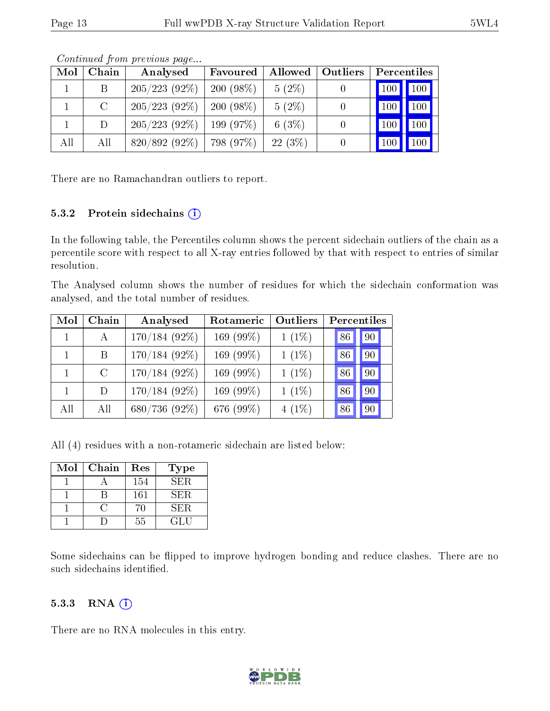| Mol | Chain   | Analysed        | Favoured    | Allowed   | Outliers |     | Percentiles         |
|-----|---------|-----------------|-------------|-----------|----------|-----|---------------------|
|     | В       | $205/223(92\%)$ | $200(98\%)$ | $5(2\%)$  |          | 100 | $\vert$ 100 $\vert$ |
|     | $\rm C$ | $205/223(92\%)$ | $200(98\%)$ | $5(2\%)$  |          | 100 | 100                 |
|     | $\Box$  | $205/223(92\%)$ | 199 (97\%)  | 6(3%)     |          |     | 100                 |
| All | All     | $820/892(92\%)$ | 798 (97%)   | $22(3\%)$ |          |     | 100                 |

Continued from previous page...

There are no Ramachandran outliers to report.

#### 5.3.2 Protein sidechains  $(i)$

In the following table, the Percentiles column shows the percent sidechain outliers of the chain as a percentile score with respect to all X-ray entries followed by that with respect to entries of similar resolution.

The Analysed column shows the number of residues for which the sidechain conformation was analysed, and the total number of residues.

| Mol | Chain        | Analysed        | Rotameric    | Outliers | Percentiles |    |    |
|-----|--------------|-----------------|--------------|----------|-------------|----|----|
|     | $\mathbf{A}$ | $170/184(92\%)$ | 169 $(99\%)$ | $1(1\%)$ |             | 86 | 90 |
|     | B            | $170/184(92\%)$ | 169 (99%)    | $1(1\%)$ |             | 86 | 90 |
|     | $\rm C$      | $170/184(92\%)$ | 169 $(99\%)$ | $1(1\%)$ |             | 86 | 90 |
|     | D.           | $170/184(92\%)$ | 169 (99%)    | $1(1\%)$ |             | 86 | 90 |
| All | All          | 680/736 (92%)   | 676 (99%)    | $4(1\%)$ |             | 86 | 90 |

All (4) residues with a non-rotameric sidechain are listed below:

| Mol | Chain | Res | <b>Type</b> |
|-----|-------|-----|-------------|
|     |       | 154 | SER.        |
|     |       | 161 | SER.        |
|     |       | 70  | SER.        |
|     |       | 55  | GL U        |

Some sidechains can be flipped to improve hydrogen bonding and reduce clashes. There are no such sidechains identified.

#### 5.3.3 RNA (i)

There are no RNA molecules in this entry.

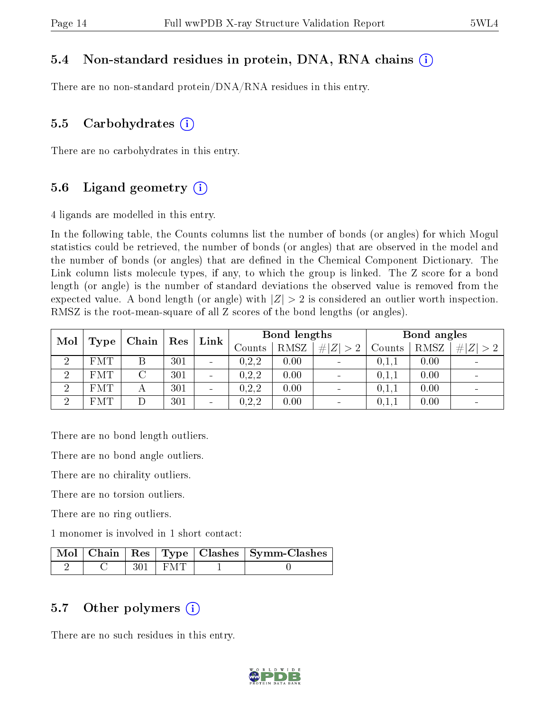#### 5.4 Non-standard residues in protein, DNA, RNA chains (i)

There are no non-standard protein/DNA/RNA residues in this entry.

#### 5.5 Carbohydrates  $(i)$

There are no carbohydrates in this entry.

#### 5.6 Ligand geometry  $(i)$

4 ligands are modelled in this entry.

In the following table, the Counts columns list the number of bonds (or angles) for which Mogul statistics could be retrieved, the number of bonds (or angles) that are observed in the model and the number of bonds (or angles) that are dened in the Chemical Component Dictionary. The Link column lists molecule types, if any, to which the group is linked. The Z score for a bond length (or angle) is the number of standard deviations the observed value is removed from the expected value. A bond length (or angle) with  $|Z| > 2$  is considered an outlier worth inspection. RMSZ is the root-mean-square of all Z scores of the bond lengths (or angles).

| Mol      | $\operatorname{Res}$<br>Chain |   |     | Link                     |                   | Bond lengths |                              | Bond angles |      |                      |
|----------|-------------------------------|---|-----|--------------------------|-------------------|--------------|------------------------------|-------------|------|----------------------|
|          | Type                          |   |     |                          | $\mathrm{Counts}$ | RMSZ         | # $ Z  > 2$                  | Counts      | RMSZ | #<br> Z <br>$\sim$ 0 |
| റ        | <b>FMT</b>                    |   | 301 | $\overline{\phantom{a}}$ | 0, 2, 2           | 0.00         | $\overline{\phantom{a}}$     | 0,1,1       | 0.00 |                      |
| റ        | <b>FMT</b>                    |   | 301 | $\overline{\phantom{a}}$ | 0, 2, 2           | 0.00         | $\overline{\phantom{0}}$     | 0,1,1       | 0.00 |                      |
| റ        | <b>FMT</b>                    | А | 301 | $\overline{\phantom{a}}$ | 0, 2, 2           | 0.00         | $\qquad \qquad \blacksquare$ | 0,1,1       | 0.00 |                      |
| $\Omega$ | <b>FMT</b>                    |   | 301 | $\overline{\phantom{a}}$ | 0, 2, 2           | 0.00         | $\overline{\phantom{0}}$     | 0,1,1       | 0.00 |                      |

There are no bond length outliers.

There are no bond angle outliers.

There are no chirality outliers.

There are no torsion outliers.

There are no ring outliers.

1 monomer is involved in 1 short contact:

|  |           | Mol   Chain   Res   Type   Clashes   Symm-Clashes |
|--|-----------|---------------------------------------------------|
|  | $301$ FMT |                                                   |

#### 5.7 [O](https://www.wwpdb.org/validation/2017/XrayValidationReportHelp#nonstandard_residues_and_ligands)ther polymers  $(i)$

There are no such residues in this entry.

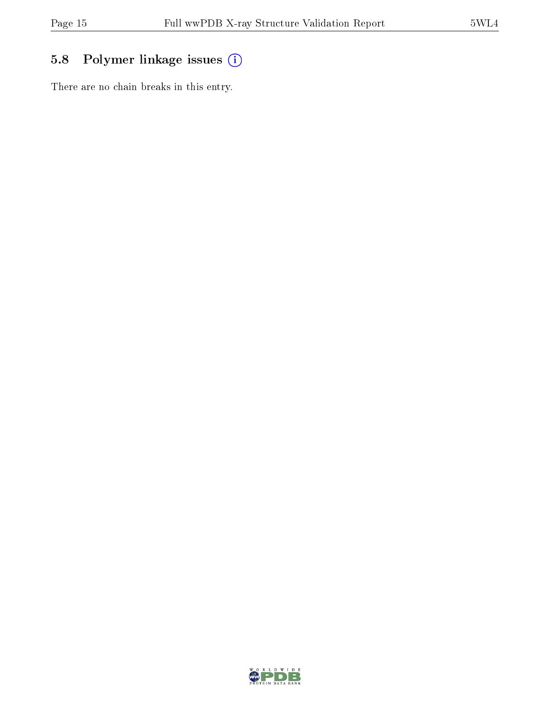### 5.8 Polymer linkage issues (i)

There are no chain breaks in this entry.

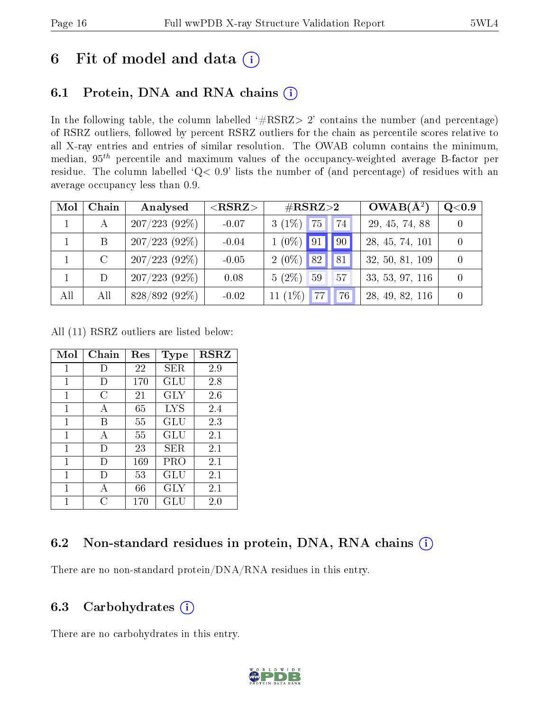## 6 Fit of model and data  $(i)$

### 6.1 Protein, DNA and RNA chains  $(i)$

In the following table, the column labelled  $#RSRZ> 2'$  contains the number (and percentage) of RSRZ outliers, followed by percent RSRZ outliers for the chain as percentile scores relative to all X-ray entries and entries of similar resolution. The OWAB column contains the minimum, median,  $95<sup>th</sup>$  percentile and maximum values of the occupancy-weighted average B-factor per residue. The column labelled ' $Q< 0.9$ ' lists the number of (and percentage) of residues with an average occupancy less than 0.9.

| Mol          | Chain         | Analysed        | ${ <\hspace{-1.5pt}{\mathrm{RSRZ}} \hspace{-1.5pt}>}$ | $\rm \#RSRZ{>}2$ |    | $OWAB(A^2)$ | Q <sub>0.9</sub> |  |
|--------------|---------------|-----------------|-------------------------------------------------------|------------------|----|-------------|------------------|--|
| $\mathbf{1}$ | А             | 207/223(92%)    | $-0.07$                                               | $3(1\%)$         | 75 | 74          | 29, 45, 74, 88   |  |
|              | B             | $207/223(92\%)$ | $-0.04$                                               | $1(0\%)$         | 91 | 90          | 28, 45, 74, 101  |  |
|              | $\mathcal{C}$ | 207/223(92%)    | $-0.05$                                               | $2(0\%)$         | 82 | 81          | 32, 50, 81, 109  |  |
|              | D             | 207/223(92%)    | 0.08                                                  | $5(2\%)$         | 59 | 57          | 33, 53, 97, 116  |  |
| All          | All           | $828/892(92\%)$ | $-0.02$                                               | 11 $(1\%)$       | 77 | 76          | 28, 49, 82, 116  |  |

All (11) RSRZ outliers are listed below:

| Mol          | Chain | $\operatorname{Res}% \left( \mathcal{N}\right) \equiv\operatorname{Res}(\mathcal{N}_{0})\cap\mathcal{N}_{1}$ | <b>Type</b> | <b>RSRZ</b> |  |
|--------------|-------|--------------------------------------------------------------------------------------------------------------|-------------|-------------|--|
| 1            | D     | 22                                                                                                           | SER         | 2.9         |  |
| $\mathbf{1}$ | D)    | 170                                                                                                          | GLU         | 2.8         |  |
| 1            | C     | 21                                                                                                           | <b>GLY</b>  | 2.6         |  |
| 1            | A     | 65                                                                                                           | LYS         | 2.4         |  |
| 1            | B     | 55                                                                                                           | GLU         | 2.3         |  |
| 1            | А     | 55                                                                                                           | GLU         | 2.1         |  |
| $\mathbf 1$  | D)    | 23                                                                                                           | <b>SER</b>  | 2.1         |  |
| 1            | D     | 169                                                                                                          | PRO         | 2.1         |  |
| 1            | D     | 53                                                                                                           | GLU         | 2.1         |  |
| 1            | А     | 66                                                                                                           | GLY         | 2.1         |  |
| 1            | ( )   | 170                                                                                                          | GLU         | 2.0         |  |

#### 6.2 Non-standard residues in protein, DNA, RNA chains (i)

There are no non-standard protein/DNA/RNA residues in this entry.

#### 6.3 Carbohydrates (i)

There are no carbohydrates in this entry.